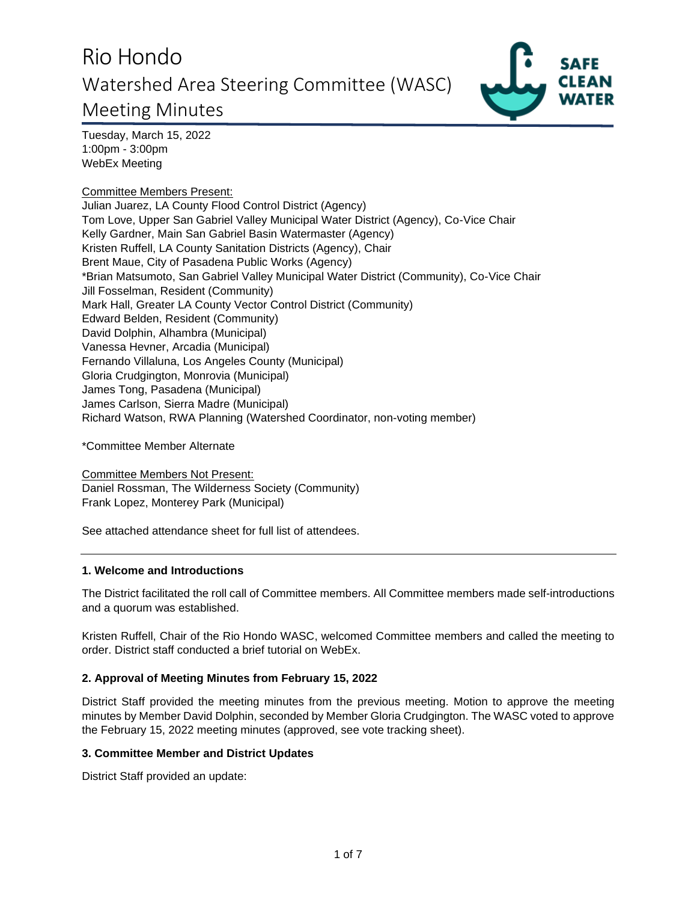

Tuesday, March 15, 2022 1:00pm - 3:00pm WebEx Meeting

Committee Members Present: Julian Juarez, LA County Flood Control District (Agency) Tom Love, Upper San Gabriel Valley Municipal Water District (Agency), Co-Vice Chair Kelly Gardner, Main San Gabriel Basin Watermaster (Agency) Kristen Ruffell, LA County Sanitation Districts (Agency), Chair Brent Maue, City of Pasadena Public Works (Agency) \*Brian Matsumoto, San Gabriel Valley Municipal Water District (Community), Co-Vice Chair Jill Fosselman, Resident (Community) Mark Hall, Greater LA County Vector Control District (Community) Edward Belden, Resident (Community) David Dolphin, Alhambra (Municipal) Vanessa Hevner, Arcadia (Municipal) Fernando Villaluna, Los Angeles County (Municipal) Gloria Crudgington, Monrovia (Municipal) James Tong, Pasadena (Municipal) James Carlson, Sierra Madre (Municipal) Richard Watson, RWA Planning (Watershed Coordinator, non-voting member)

\*Committee Member Alternate

Committee Members Not Present: Daniel Rossman, The Wilderness Society (Community) Frank Lopez, Monterey Park (Municipal)

See attached attendance sheet for full list of attendees.

### **1. Welcome and Introductions**

The District facilitated the roll call of Committee members. All Committee members made self-introductions and a quorum was established.

Kristen Ruffell, Chair of the Rio Hondo WASC, welcomed Committee members and called the meeting to order. District staff conducted a brief tutorial on WebEx.

### **2. Approval of Meeting Minutes from February 15, 2022**

District Staff provided the meeting minutes from the previous meeting. Motion to approve the meeting minutes by Member David Dolphin, seconded by Member Gloria Crudgington. The WASC voted to approve the February 15, 2022 meeting minutes (approved, see vote tracking sheet).

### **3. Committee Member and District Updates**

District Staff provided an update: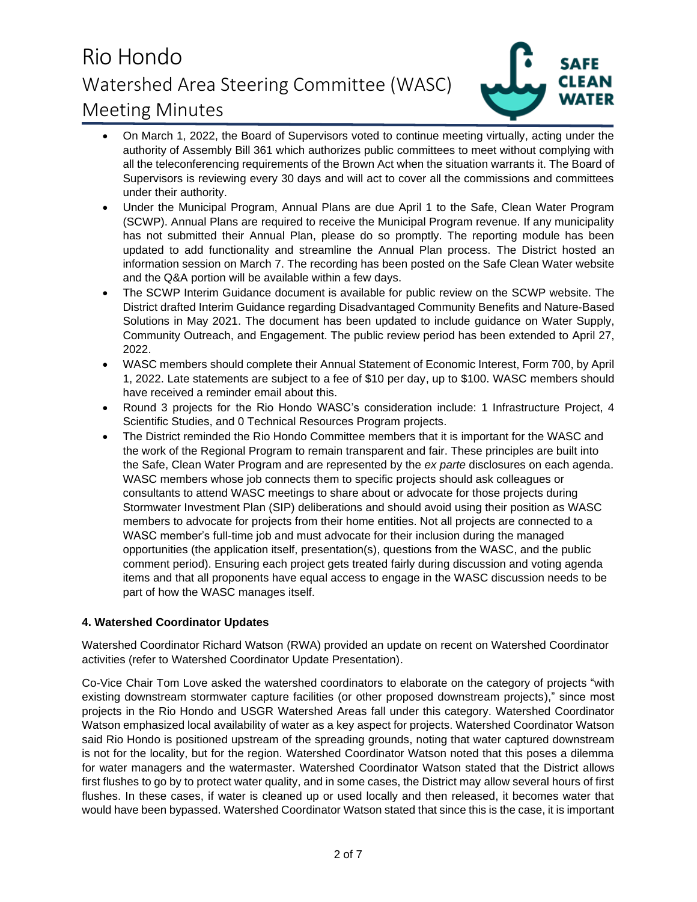

- On March 1, 2022, the Board of Supervisors voted to continue meeting virtually, acting under the authority of Assembly Bill 361 which authorizes public committees to meet without complying with all the teleconferencing requirements of the Brown Act when the situation warrants it. The Board of Supervisors is reviewing every 30 days and will act to cover all the commissions and committees under their authority.
- Under the Municipal Program, Annual Plans are due April 1 to the Safe, Clean Water Program (SCWP). Annual Plans are required to receive the Municipal Program revenue. If any municipality has not submitted their Annual Plan, please do so promptly. The reporting module has been updated to add functionality and streamline the Annual Plan process. The District hosted an information session on March 7. The recording has been posted on the Safe Clean Water website and the Q&A portion will be available within a few days.
- The SCWP Interim Guidance document is available for public review on the SCWP website. The District drafted Interim Guidance regarding Disadvantaged Community Benefits and Nature-Based Solutions in May 2021. The document has been updated to include guidance on Water Supply, Community Outreach, and Engagement. The public review period has been extended to April 27, 2022.
- WASC members should complete their Annual Statement of Economic Interest, Form 700, by April 1, 2022. Late statements are subject to a fee of \$10 per day, up to \$100. WASC members should have received a reminder email about this.
- Round 3 projects for the Rio Hondo WASC's consideration include: 1 Infrastructure Project, 4 Scientific Studies, and 0 Technical Resources Program projects.
- The District reminded the Rio Hondo Committee members that it is important for the WASC and the work of the Regional Program to remain transparent and fair. These principles are built into the Safe, Clean Water Program and are represented by the *ex parte* disclosures on each agenda. WASC members whose job connects them to specific projects should ask colleagues or consultants to attend WASC meetings to share about or advocate for those projects during Stormwater Investment Plan (SIP) deliberations and should avoid using their position as WASC members to advocate for projects from their home entities. Not all projects are connected to a WASC member's full-time job and must advocate for their inclusion during the managed opportunities (the application itself, presentation(s), questions from the WASC, and the public comment period). Ensuring each project gets treated fairly during discussion and voting agenda items and that all proponents have equal access to engage in the WASC discussion needs to be part of how the WASC manages itself.

### **4. Watershed Coordinator Updates**

Watershed Coordinator Richard Watson (RWA) provided an update on recent on Watershed Coordinator activities (refer to Watershed Coordinator Update Presentation).

Co-Vice Chair Tom Love asked the watershed coordinators to elaborate on the category of projects "with existing downstream stormwater capture facilities (or other proposed downstream projects)," since most projects in the Rio Hondo and USGR Watershed Areas fall under this category. Watershed Coordinator Watson emphasized local availability of water as a key aspect for projects. Watershed Coordinator Watson said Rio Hondo is positioned upstream of the spreading grounds, noting that water captured downstream is not for the locality, but for the region. Watershed Coordinator Watson noted that this poses a dilemma for water managers and the watermaster. Watershed Coordinator Watson stated that the District allows first flushes to go by to protect water quality, and in some cases, the District may allow several hours of first flushes. In these cases, if water is cleaned up or used locally and then released, it becomes water that would have been bypassed. Watershed Coordinator Watson stated that since this is the case, it is important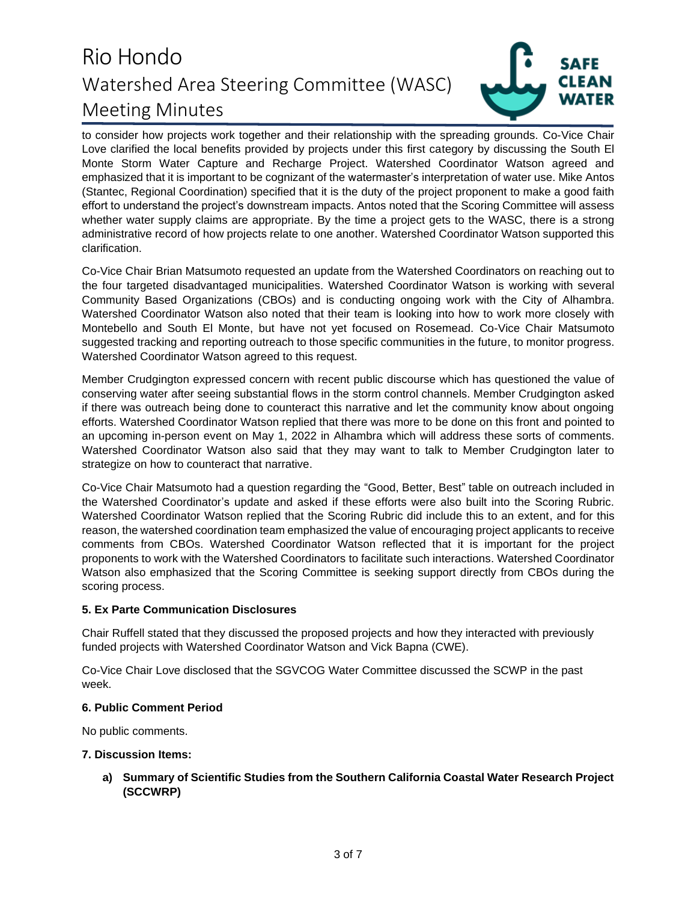

to consider how projects work together and their relationship with the spreading grounds. Co-Vice Chair Love clarified the local benefits provided by projects under this first category by discussing the South El Monte Storm Water Capture and Recharge Project. Watershed Coordinator Watson agreed and emphasized that it is important to be cognizant of the watermaster's interpretation of water use. Mike Antos (Stantec, Regional Coordination) specified that it is the duty of the project proponent to make a good faith effort to understand the project's downstream impacts. Antos noted that the Scoring Committee will assess whether water supply claims are appropriate. By the time a project gets to the WASC, there is a strong administrative record of how projects relate to one another. Watershed Coordinator Watson supported this clarification.

Co-Vice Chair Brian Matsumoto requested an update from the Watershed Coordinators on reaching out to the four targeted disadvantaged municipalities. Watershed Coordinator Watson is working with several Community Based Organizations (CBOs) and is conducting ongoing work with the City of Alhambra. Watershed Coordinator Watson also noted that their team is looking into how to work more closely with Montebello and South El Monte, but have not yet focused on Rosemead. Co-Vice Chair Matsumoto suggested tracking and reporting outreach to those specific communities in the future, to monitor progress. Watershed Coordinator Watson agreed to this request.

Member Crudgington expressed concern with recent public discourse which has questioned the value of conserving water after seeing substantial flows in the storm control channels. Member Crudgington asked if there was outreach being done to counteract this narrative and let the community know about ongoing efforts. Watershed Coordinator Watson replied that there was more to be done on this front and pointed to an upcoming in-person event on May 1, 2022 in Alhambra which will address these sorts of comments. Watershed Coordinator Watson also said that they may want to talk to Member Crudgington later to strategize on how to counteract that narrative.

Co-Vice Chair Matsumoto had a question regarding the "Good, Better, Best" table on outreach included in the Watershed Coordinator's update and asked if these efforts were also built into the Scoring Rubric. Watershed Coordinator Watson replied that the Scoring Rubric did include this to an extent, and for this reason, the watershed coordination team emphasized the value of encouraging project applicants to receive comments from CBOs. Watershed Coordinator Watson reflected that it is important for the project proponents to work with the Watershed Coordinators to facilitate such interactions. Watershed Coordinator Watson also emphasized that the Scoring Committee is seeking support directly from CBOs during the scoring process.

### **5. Ex Parte Communication Disclosures**

Chair Ruffell stated that they discussed the proposed projects and how they interacted with previously funded projects with Watershed Coordinator Watson and Vick Bapna (CWE).

Co-Vice Chair Love disclosed that the SGVCOG Water Committee discussed the SCWP in the past week.

#### **6. Public Comment Period**

No public comments.

#### **7. Discussion Items:**

**a) Summary of Scientific Studies from the Southern California Coastal Water Research Project (SCCWRP)**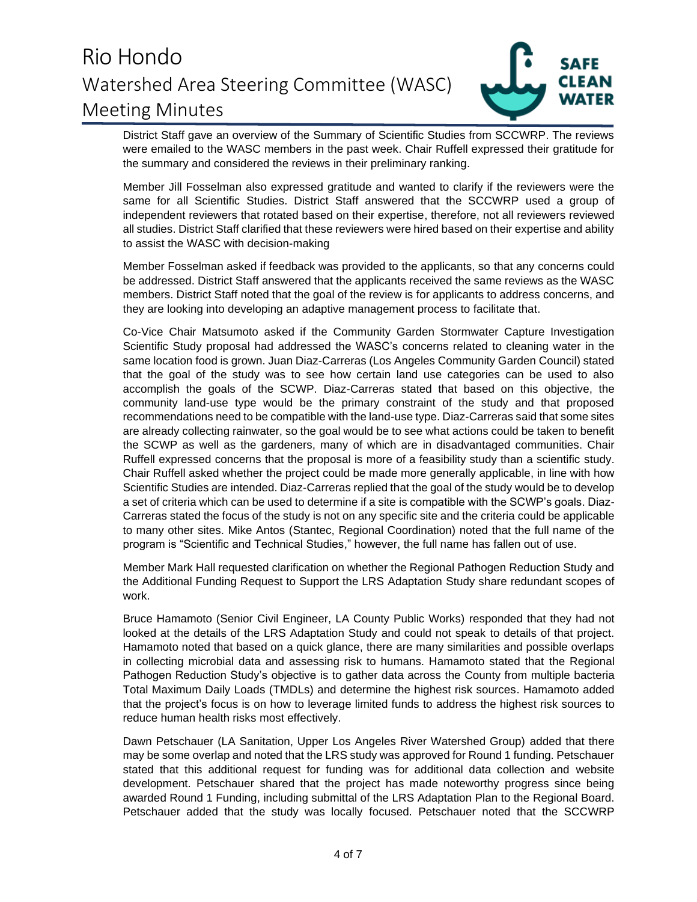

District Staff gave an overview of the Summary of Scientific Studies from SCCWRP. The reviews were emailed to the WASC members in the past week. Chair Ruffell expressed their gratitude for the summary and considered the reviews in their preliminary ranking.

Member Jill Fosselman also expressed gratitude and wanted to clarify if the reviewers were the same for all Scientific Studies. District Staff answered that the SCCWRP used a group of independent reviewers that rotated based on their expertise, therefore, not all reviewers reviewed all studies. District Staff clarified that these reviewers were hired based on their expertise and ability to assist the WASC with decision-making

Member Fosselman asked if feedback was provided to the applicants, so that any concerns could be addressed. District Staff answered that the applicants received the same reviews as the WASC members. District Staff noted that the goal of the review is for applicants to address concerns, and they are looking into developing an adaptive management process to facilitate that.

Co-Vice Chair Matsumoto asked if the Community Garden Stormwater Capture Investigation Scientific Study proposal had addressed the WASC's concerns related to cleaning water in the same location food is grown. Juan Diaz-Carreras (Los Angeles Community Garden Council) stated that the goal of the study was to see how certain land use categories can be used to also accomplish the goals of the SCWP. Diaz-Carreras stated that based on this objective, the community land-use type would be the primary constraint of the study and that proposed recommendations need to be compatible with the land-use type. Diaz-Carreras said that some sites are already collecting rainwater, so the goal would be to see what actions could be taken to benefit the SCWP as well as the gardeners, many of which are in disadvantaged communities. Chair Ruffell expressed concerns that the proposal is more of a feasibility study than a scientific study. Chair Ruffell asked whether the project could be made more generally applicable, in line with how Scientific Studies are intended. Diaz-Carreras replied that the goal of the study would be to develop a set of criteria which can be used to determine if a site is compatible with the SCWP's goals. Diaz-Carreras stated the focus of the study is not on any specific site and the criteria could be applicable to many other sites. Mike Antos (Stantec, Regional Coordination) noted that the full name of the program is "Scientific and Technical Studies," however, the full name has fallen out of use.

Member Mark Hall requested clarification on whether the Regional Pathogen Reduction Study and the Additional Funding Request to Support the LRS Adaptation Study share redundant scopes of work.

Bruce Hamamoto (Senior Civil Engineer, LA County Public Works) responded that they had not looked at the details of the LRS Adaptation Study and could not speak to details of that project. Hamamoto noted that based on a quick glance, there are many similarities and possible overlaps in collecting microbial data and assessing risk to humans. Hamamoto stated that the Regional Pathogen Reduction Study's objective is to gather data across the County from multiple bacteria Total Maximum Daily Loads (TMDLs) and determine the highest risk sources. Hamamoto added that the project's focus is on how to leverage limited funds to address the highest risk sources to reduce human health risks most effectively.

Dawn Petschauer (LA Sanitation, Upper Los Angeles River Watershed Group) added that there may be some overlap and noted that the LRS study was approved for Round 1 funding. Petschauer stated that this additional request for funding was for additional data collection and website development. Petschauer shared that the project has made noteworthy progress since being awarded Round 1 Funding, including submittal of the LRS Adaptation Plan to the Regional Board. Petschauer added that the study was locally focused. Petschauer noted that the SCCWRP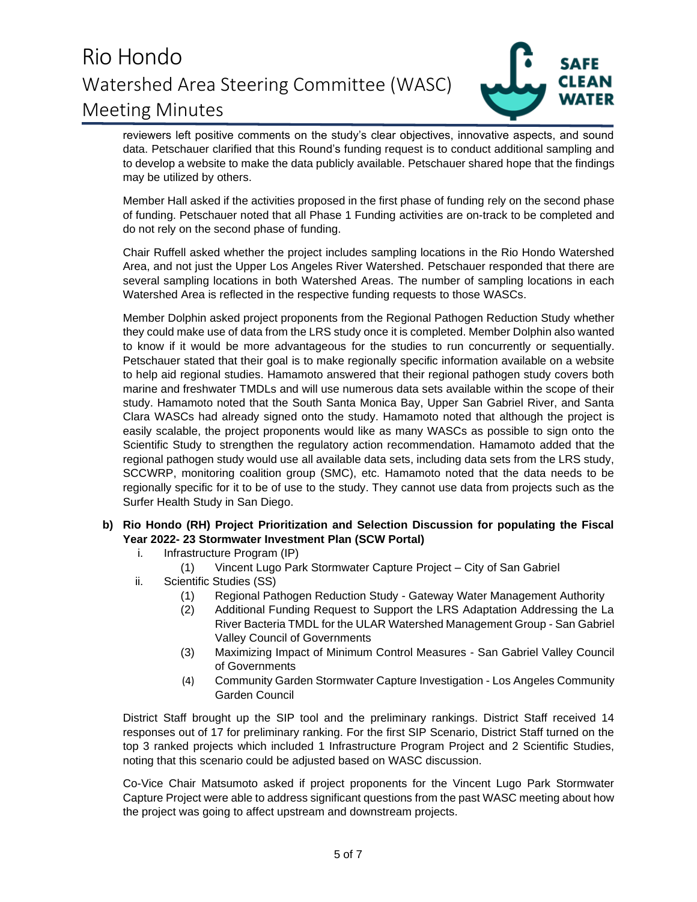

reviewers left positive comments on the study's clear objectives, innovative aspects, and sound data. Petschauer clarified that this Round's funding request is to conduct additional sampling and to develop a website to make the data publicly available. Petschauer shared hope that the findings may be utilized by others.

Member Hall asked if the activities proposed in the first phase of funding rely on the second phase of funding. Petschauer noted that all Phase 1 Funding activities are on-track to be completed and do not rely on the second phase of funding.

Chair Ruffell asked whether the project includes sampling locations in the Rio Hondo Watershed Area, and not just the Upper Los Angeles River Watershed. Petschauer responded that there are several sampling locations in both Watershed Areas. The number of sampling locations in each Watershed Area is reflected in the respective funding requests to those WASCs.

Member Dolphin asked project proponents from the Regional Pathogen Reduction Study whether they could make use of data from the LRS study once it is completed. Member Dolphin also wanted to know if it would be more advantageous for the studies to run concurrently or sequentially. Petschauer stated that their goal is to make regionally specific information available on a website to help aid regional studies. Hamamoto answered that their regional pathogen study covers both marine and freshwater TMDLs and will use numerous data sets available within the scope of their study. Hamamoto noted that the South Santa Monica Bay, Upper San Gabriel River, and Santa Clara WASCs had already signed onto the study. Hamamoto noted that although the project is easily scalable, the project proponents would like as many WASCs as possible to sign onto the Scientific Study to strengthen the regulatory action recommendation. Hamamoto added that the regional pathogen study would use all available data sets, including data sets from the LRS study, SCCWRP, monitoring coalition group (SMC), etc. Hamamoto noted that the data needs to be regionally specific for it to be of use to the study. They cannot use data from projects such as the Surfer Health Study in San Diego.

### **b) Rio Hondo (RH) Project Prioritization and Selection Discussion for populating the Fiscal Year 2022- 23 Stormwater Investment Plan (SCW Portal)**

- i. Infrastructure Program (IP)
	- (1) Vincent Lugo Park Stormwater Capture Project City of San Gabriel
- ii. Scientific Studies (SS)
	- (1) Regional Pathogen Reduction Study Gateway Water Management Authority
	- (2) Additional Funding Request to Support the LRS Adaptation Addressing the La River Bacteria TMDL for the ULAR Watershed Management Group - San Gabriel Valley Council of Governments
	- (3) Maximizing Impact of Minimum Control Measures San Gabriel Valley Council of Governments
	- (4) Community Garden Stormwater Capture Investigation Los Angeles Community Garden Council

District Staff brought up the SIP tool and the preliminary rankings. District Staff received 14 responses out of 17 for preliminary ranking. For the first SIP Scenario, District Staff turned on the top 3 ranked projects which included 1 Infrastructure Program Project and 2 Scientific Studies, noting that this scenario could be adjusted based on WASC discussion.

Co-Vice Chair Matsumoto asked if project proponents for the Vincent Lugo Park Stormwater Capture Project were able to address significant questions from the past WASC meeting about how the project was going to affect upstream and downstream projects.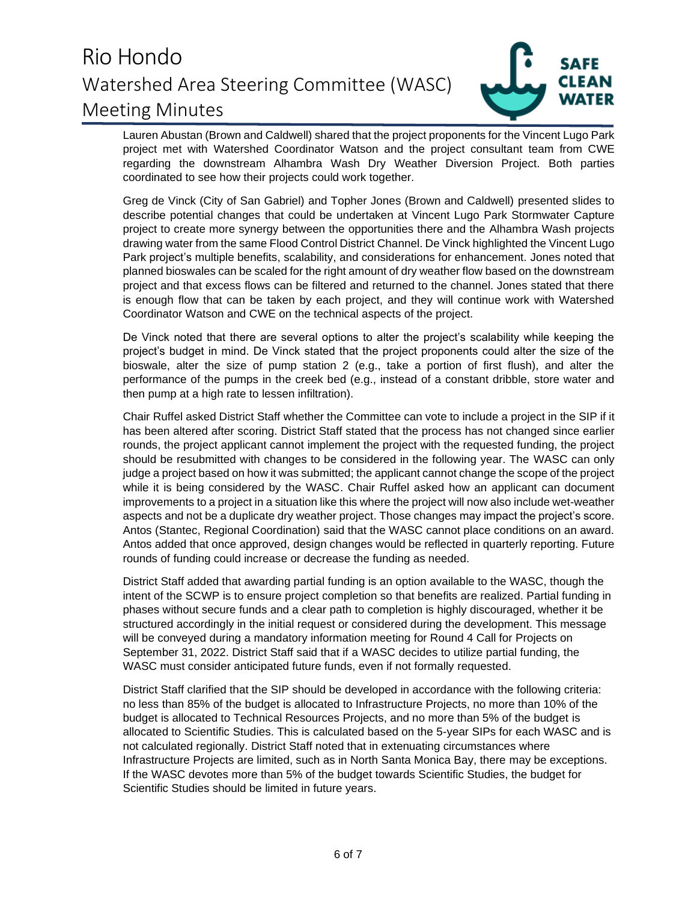

Lauren Abustan (Brown and Caldwell) shared that the project proponents for the Vincent Lugo Park project met with Watershed Coordinator Watson and the project consultant team from CWE regarding the downstream Alhambra Wash Dry Weather Diversion Project. Both parties coordinated to see how their projects could work together.

Greg de Vinck (City of San Gabriel) and Topher Jones (Brown and Caldwell) presented slides to describe potential changes that could be undertaken at Vincent Lugo Park Stormwater Capture project to create more synergy between the opportunities there and the Alhambra Wash projects drawing water from the same Flood Control District Channel. De Vinck highlighted the Vincent Lugo Park project's multiple benefits, scalability, and considerations for enhancement. Jones noted that planned bioswales can be scaled for the right amount of dry weather flow based on the downstream project and that excess flows can be filtered and returned to the channel. Jones stated that there is enough flow that can be taken by each project, and they will continue work with Watershed Coordinator Watson and CWE on the technical aspects of the project.

De Vinck noted that there are several options to alter the project's scalability while keeping the project's budget in mind. De Vinck stated that the project proponents could alter the size of the bioswale, alter the size of pump station 2 (e.g., take a portion of first flush), and alter the performance of the pumps in the creek bed (e.g., instead of a constant dribble, store water and then pump at a high rate to lessen infiltration).

Chair Ruffel asked District Staff whether the Committee can vote to include a project in the SIP if it has been altered after scoring. District Staff stated that the process has not changed since earlier rounds, the project applicant cannot implement the project with the requested funding, the project should be resubmitted with changes to be considered in the following year. The WASC can only judge a project based on how it was submitted; the applicant cannot change the scope of the project while it is being considered by the WASC. Chair Ruffel asked how an applicant can document improvements to a project in a situation like this where the project will now also include wet-weather aspects and not be a duplicate dry weather project. Those changes may impact the project's score. Antos (Stantec, Regional Coordination) said that the WASC cannot place conditions on an award. Antos added that once approved, design changes would be reflected in quarterly reporting. Future rounds of funding could increase or decrease the funding as needed.

District Staff added that awarding partial funding is an option available to the WASC, though the intent of the SCWP is to ensure project completion so that benefits are realized. Partial funding in phases without secure funds and a clear path to completion is highly discouraged, whether it be structured accordingly in the initial request or considered during the development. This message will be conveyed during a mandatory information meeting for Round 4 Call for Projects on September 31, 2022. District Staff said that if a WASC decides to utilize partial funding, the WASC must consider anticipated future funds, even if not formally requested.

District Staff clarified that the SIP should be developed in accordance with the following criteria: no less than 85% of the budget is allocated to Infrastructure Projects, no more than 10% of the budget is allocated to Technical Resources Projects, and no more than 5% of the budget is allocated to Scientific Studies. This is calculated based on the 5-year SIPs for each WASC and is not calculated regionally. District Staff noted that in extenuating circumstances where Infrastructure Projects are limited, such as in North Santa Monica Bay, there may be exceptions. If the WASC devotes more than 5% of the budget towards Scientific Studies, the budget for Scientific Studies should be limited in future years.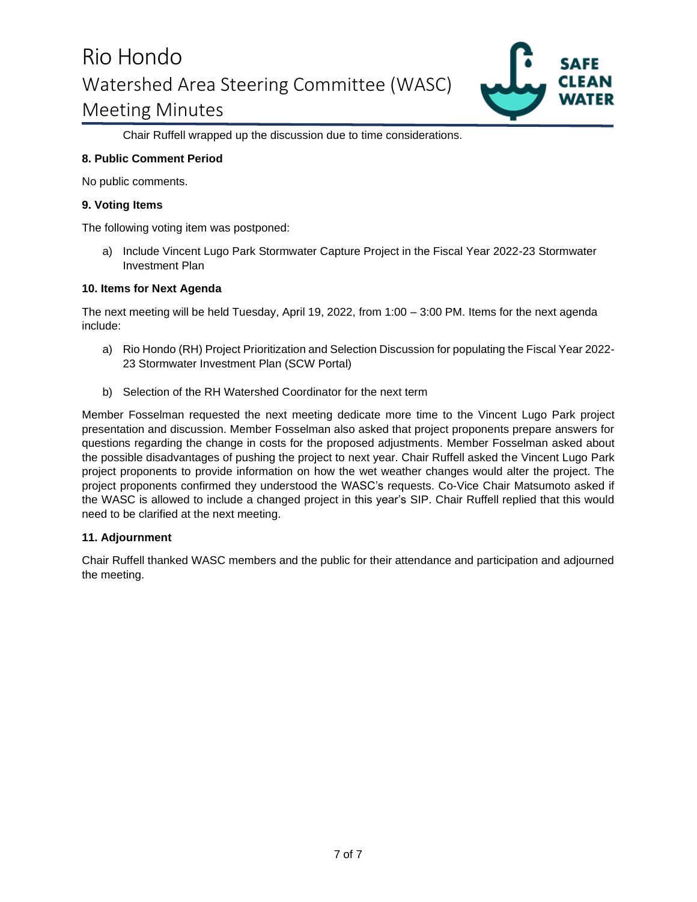

Chair Ruffell wrapped up the discussion due to time considerations.

#### **8. Public Comment Period**

No public comments.

#### **9. Voting Items**

The following voting item was postponed:

a) Include Vincent Lugo Park Stormwater Capture Project in the Fiscal Year 2022-23 Stormwater Investment Plan

#### **10. Items for Next Agenda**

The next meeting will be held Tuesday, April 19, 2022, from 1:00 – 3:00 PM. Items for the next agenda include:

- a) Rio Hondo (RH) Project Prioritization and Selection Discussion for populating the Fiscal Year 2022- 23 Stormwater Investment Plan (SCW Portal)
- b) Selection of the RH Watershed Coordinator for the next term

Member Fosselman requested the next meeting dedicate more time to the Vincent Lugo Park project presentation and discussion. Member Fosselman also asked that project proponents prepare answers for questions regarding the change in costs for the proposed adjustments. Member Fosselman asked about the possible disadvantages of pushing the project to next year. Chair Ruffell asked the Vincent Lugo Park project proponents to provide information on how the wet weather changes would alter the project. The project proponents confirmed they understood the WASC's requests. Co-Vice Chair Matsumoto asked if the WASC is allowed to include a changed project in this year's SIP. Chair Ruffell replied that this would need to be clarified at the next meeting.

### **11. Adjournment**

Chair Ruffell thanked WASC members and the public for their attendance and participation and adjourned the meeting.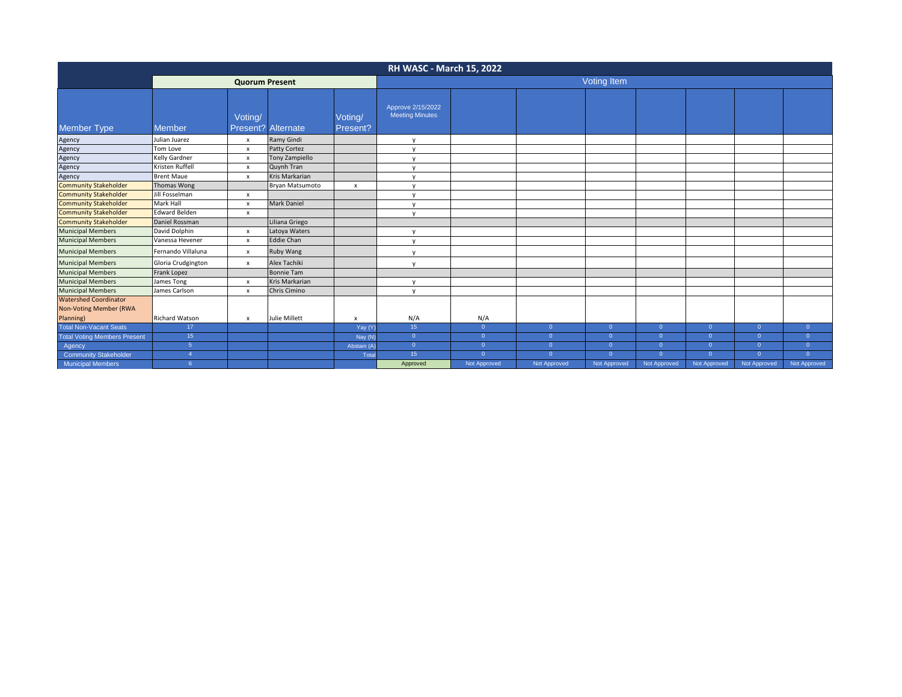| <b>RH WASC - March 15, 2022</b>                                            |                       |                           |                     |                     |                                             |                |                |                |                |                |              |                |
|----------------------------------------------------------------------------|-----------------------|---------------------------|---------------------|---------------------|---------------------------------------------|----------------|----------------|----------------|----------------|----------------|--------------|----------------|
|                                                                            | <b>Quorum Present</b> |                           |                     |                     | Voting Item                                 |                |                |                |                |                |              |                |
| <b>Member Type</b>                                                         | Member                | Voting/<br>Present?       | Alternate           | Voting/<br>Present? | Approve 2/15/2022<br><b>Meeting Minutes</b> |                |                |                |                |                |              |                |
| Agency                                                                     | Julian Juarez         | $\pmb{\times}$            | Ramy Gindi          |                     | $\mathsf{v}$                                |                |                |                |                |                |              |                |
| Agency                                                                     | Tom Love              | $\boldsymbol{\mathsf{x}}$ | <b>Patty Cortez</b> |                     | $\mathsf{v}$                                |                |                |                |                |                |              |                |
| Agency                                                                     | Kelly Gardner         | $\pmb{\times}$            | Tony Zampiello      |                     | $\mathsf{v}$                                |                |                |                |                |                |              |                |
| Agency<br>Agency                                                           | Kristen Ruffell       | $\pmb{\times}$            | Quynh Tran          |                     | $\mathsf{v}$                                |                |                |                |                |                |              |                |
|                                                                            | <b>Brent Maue</b>     | $\boldsymbol{\mathsf{x}}$ | Kris Markarian      |                     | y                                           |                |                |                |                |                |              |                |
| <b>Community Stakeholder</b>                                               | Thomas Wong           |                           | Bryan Matsumoto     | x                   | $\mathsf{v}$                                |                |                |                |                |                |              |                |
| <b>Community Stakeholder</b>                                               | Jill Fosselman        | $\boldsymbol{\mathsf{x}}$ |                     |                     | $\mathsf{v}$                                |                |                |                |                |                |              |                |
| <b>Community Stakeholder</b>                                               | Mark Hall             | $\boldsymbol{\mathsf{x}}$ | <b>Mark Daniel</b>  |                     | $\mathsf{v}$                                |                |                |                |                |                |              |                |
| <b>Community Stakeholder</b>                                               | <b>Edward Belden</b>  | $\pmb{\times}$            |                     |                     | $\mathsf{v}$                                |                |                |                |                |                |              |                |
| <b>Community Stakeholder</b>                                               | Daniel Rossman        |                           | Liliana Griego      |                     |                                             |                |                |                |                |                |              |                |
| <b>Municipal Members</b>                                                   | David Dolphin         | $\boldsymbol{\mathsf{x}}$ | Latoya Waters       |                     | $\mathsf{v}$                                |                |                |                |                |                |              |                |
| <b>Municipal Members</b>                                                   | Vanessa Hevener       | $\boldsymbol{\mathsf{x}}$ | <b>Eddie Chan</b>   |                     | $\mathsf{v}$                                |                |                |                |                |                |              |                |
| <b>Municipal Members</b>                                                   | Fernando Villaluna    | $\pmb{\times}$            | Ruby Wang           |                     | $\mathsf{v}$                                |                |                |                |                |                |              |                |
| <b>Municipal Members</b>                                                   | Gloria Crudgington    | $\pmb{\times}$            | Alex Tachiki        |                     | $\mathsf{v}$                                |                |                |                |                |                |              |                |
| <b>Municipal Members</b>                                                   | Frank Lopez           |                           | <b>Bonnie Tam</b>   |                     |                                             |                |                |                |                |                |              |                |
| <b>Municipal Members</b>                                                   | James Tong            | $\mathsf{x}$              | Kris Markarian      |                     | $\mathsf{v}$                                |                |                |                |                |                |              |                |
| <b>Municipal Members</b>                                                   | James Carlson         | $\pmb{\times}$            | Chris Cimino        |                     | $\mathsf{v}$                                |                |                |                |                |                |              |                |
| <b>Watershed Coordinator</b><br><b>Non-Voting Member (RWA</b><br>Planning) | <b>Richard Watson</b> | $\pmb{\times}$            | Julie Millett       | x                   | N/A                                         | N/A            |                |                |                |                |              |                |
| <b>Total Non-Vacant Seats</b>                                              | 17 <sup>2</sup>       |                           |                     | Yay (Y)             | 15 <sub>1</sub>                             | $\overline{0}$ | $\overline{0}$ | $\overline{0}$ | $\overline{0}$ | $\overline{0}$ | $\Omega$     | $\mathbf{0}$   |
| <b>Total Voting Members Present</b>                                        | 15 <sup>°</sup>       |                           |                     | Nay (N)             | $\overline{0}$                              | $\Omega$       | $\Omega$       | $\overline{0}$ | $\overline{0}$ | $\Omega$       | $\Omega$     | $\Omega$       |
| Agency                                                                     | 5 <sup>5</sup>        |                           |                     | Abstain (A)         | $\overline{0}$                              | $\Omega$       | $\Omega$       | $\overline{0}$ | $\mathbf{0}$   | $\overline{0}$ | n            | $\overline{0}$ |
| <b>Community Stakeholder</b>                                               | $\mathbf{A}$          |                           |                     | Total               | 15 <sub>15</sub>                            | $\Omega$       | $\Omega$       | $\circ$        | $\Omega$       | $\Omega$       | $\Omega$     | $\Omega$       |
| <b>Municipal Members</b>                                                   | 6                     |                           |                     |                     | Approved                                    | Not Approved   | Not Approved   | Not Approved   | Not Approved   | Not Approved   | Not Approved | Not Approved   |